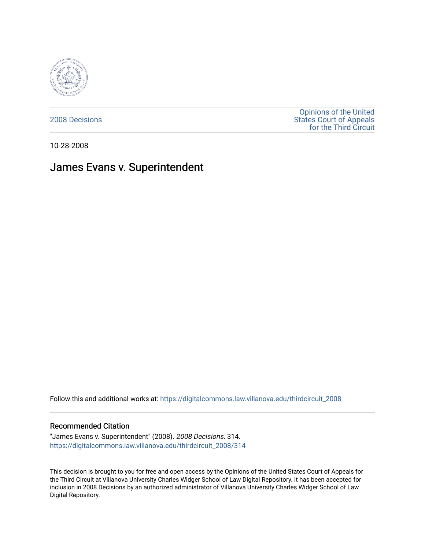

[2008 Decisions](https://digitalcommons.law.villanova.edu/thirdcircuit_2008)

[Opinions of the United](https://digitalcommons.law.villanova.edu/thirdcircuit)  [States Court of Appeals](https://digitalcommons.law.villanova.edu/thirdcircuit)  [for the Third Circuit](https://digitalcommons.law.villanova.edu/thirdcircuit) 

10-28-2008

# James Evans v. Superintendent

Follow this and additional works at: [https://digitalcommons.law.villanova.edu/thirdcircuit\\_2008](https://digitalcommons.law.villanova.edu/thirdcircuit_2008?utm_source=digitalcommons.law.villanova.edu%2Fthirdcircuit_2008%2F314&utm_medium=PDF&utm_campaign=PDFCoverPages) 

#### Recommended Citation

"James Evans v. Superintendent" (2008). 2008 Decisions. 314. [https://digitalcommons.law.villanova.edu/thirdcircuit\\_2008/314](https://digitalcommons.law.villanova.edu/thirdcircuit_2008/314?utm_source=digitalcommons.law.villanova.edu%2Fthirdcircuit_2008%2F314&utm_medium=PDF&utm_campaign=PDFCoverPages)

This decision is brought to you for free and open access by the Opinions of the United States Court of Appeals for the Third Circuit at Villanova University Charles Widger School of Law Digital Repository. It has been accepted for inclusion in 2008 Decisions by an authorized administrator of Villanova University Charles Widger School of Law Digital Repository.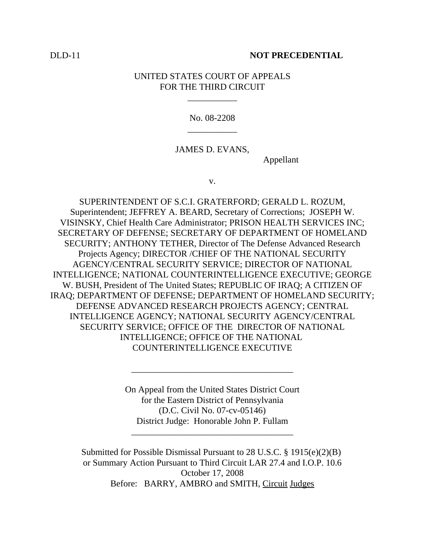## DLD-11 **NOT PRECEDENTIAL**

# UNITED STATES COURT OF APPEALS FOR THE THIRD CIRCUIT

\_\_\_\_\_\_\_\_\_\_\_

No. 08-2208 \_\_\_\_\_\_\_\_\_\_\_

## JAMES D. EVANS,

Appellant

v.

SUPERINTENDENT OF S.C.I. GRATERFORD; GERALD L. ROZUM, Superintendent; JEFFREY A. BEARD, Secretary of Corrections; JOSEPH W. VISINSKY, Chief Health Care Administrator; PRISON HEALTH SERVICES INC; SECRETARY OF DEFENSE; SECRETARY OF DEPARTMENT OF HOMELAND SECURITY; ANTHONY TETHER, Director of The Defense Advanced Research Projects Agency; DIRECTOR /CHIEF OF THE NATIONAL SECURITY AGENCY/CENTRAL SECURITY SERVICE; DIRECTOR OF NATIONAL INTELLIGENCE; NATIONAL COUNTERINTELLIGENCE EXECUTIVE; GEORGE W. BUSH, President of The United States; REPUBLIC OF IRAQ; A CITIZEN OF IRAQ; DEPARTMENT OF DEFENSE; DEPARTMENT OF HOMELAND SECURITY; DEFENSE ADVANCED RESEARCH PROJECTS AGENCY; CENTRAL INTELLIGENCE AGENCY; NATIONAL SECURITY AGENCY/CENTRAL SECURITY SERVICE; OFFICE OF THE DIRECTOR OF NATIONAL INTELLIGENCE; OFFICE OF THE NATIONAL COUNTERINTELLIGENCE EXECUTIVE

> On Appeal from the United States District Court for the Eastern District of Pennsylvania (D.C. Civil No. 07-cv-05146) District Judge: Honorable John P. Fullam

\_\_\_\_\_\_\_\_\_\_\_\_\_\_\_\_\_\_\_\_\_\_\_\_\_\_\_\_\_\_\_\_\_\_\_\_

\_\_\_\_\_\_\_\_\_\_\_\_\_\_\_\_\_\_\_\_\_\_\_\_\_\_\_\_\_\_\_\_\_\_\_\_

Submitted for Possible Dismissal Pursuant to 28 U.S.C. § 1915(e)(2)(B) or Summary Action Pursuant to Third Circuit LAR 27.4 and I.O.P. 10.6 October 17, 2008 Before: BARRY, AMBRO and SMITH, Circuit Judges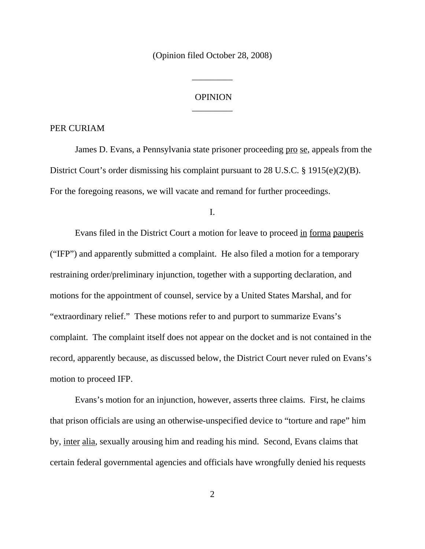(Opinion filed October 28, 2008)

\_\_\_\_\_\_\_\_\_

# **OPINION** \_\_\_\_\_\_\_\_\_

#### PER CURIAM

James D. Evans, a Pennsylvania state prisoner proceeding pro se, appeals from the District Court's order dismissing his complaint pursuant to 28 U.S.C. § 1915(e)(2)(B). For the foregoing reasons, we will vacate and remand for further proceedings.

I.

Evans filed in the District Court a motion for leave to proceed in forma pauperis ("IFP") and apparently submitted a complaint. He also filed a motion for a temporary restraining order/preliminary injunction, together with a supporting declaration, and motions for the appointment of counsel, service by a United States Marshal, and for "extraordinary relief." These motions refer to and purport to summarize Evans's complaint. The complaint itself does not appear on the docket and is not contained in the record, apparently because, as discussed below, the District Court never ruled on Evans's motion to proceed IFP.

Evans's motion for an injunction, however, asserts three claims. First, he claims that prison officials are using an otherwise-unspecified device to "torture and rape" him by, inter alia, sexually arousing him and reading his mind. Second, Evans claims that certain federal governmental agencies and officials have wrongfully denied his requests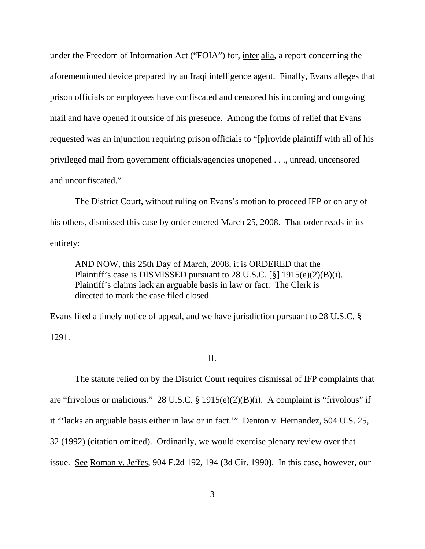under the Freedom of Information Act ("FOIA") for, inter alia, a report concerning the aforementioned device prepared by an Iraqi intelligence agent. Finally, Evans alleges that prison officials or employees have confiscated and censored his incoming and outgoing mail and have opened it outside of his presence. Among the forms of relief that Evans requested was an injunction requiring prison officials to "[p]rovide plaintiff with all of his privileged mail from government officials/agencies unopened . . ., unread, uncensored and unconfiscated."

The District Court, without ruling on Evans's motion to proceed IFP or on any of his others, dismissed this case by order entered March 25, 2008. That order reads in its entirety:

AND NOW, this 25th Day of March, 2008, it is ORDERED that the Plaintiff's case is DISMISSED pursuant to 28 U.S.C.  $[\S]$  1915(e)(2)(B)(i). Plaintiff's claims lack an arguable basis in law or fact. The Clerk is directed to mark the case filed closed.

Evans filed a timely notice of appeal, and we have jurisdiction pursuant to 28 U.S.C. § 1291.

### II.

The statute relied on by the District Court requires dismissal of IFP complaints that are "frivolous or malicious." 28 U.S.C. § 1915(e)(2)(B)(i). A complaint is "frivolous" if it "'lacks an arguable basis either in law or in fact.'" Denton v. Hernandez, 504 U.S. 25, 32 (1992) (citation omitted). Ordinarily, we would exercise plenary review over that issue. See Roman v. Jeffes, 904 F.2d 192, 194 (3d Cir. 1990). In this case, however, our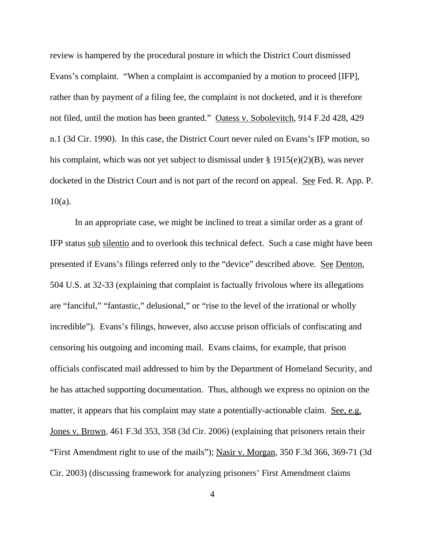review is hampered by the procedural posture in which the District Court dismissed Evans's complaint. "When a complaint is accompanied by a motion to proceed [IFP], rather than by payment of a filing fee, the complaint is not docketed, and it is therefore not filed, until the motion has been granted." Oatess v. Sobolevitch, 914 F.2d 428, 429 n.1 (3d Cir. 1990). In this case, the District Court never ruled on Evans's IFP motion, so his complaint, which was not yet subject to dismissal under § 1915(e)(2)(B), was never docketed in the District Court and is not part of the record on appeal. See Fed. R. App. P.  $10(a)$ .

In an appropriate case, we might be inclined to treat a similar order as a grant of IFP status sub silentio and to overlook this technical defect. Such a case might have been presented if Evans's filings referred only to the "device" described above. See Denton, 504 U.S. at 32-33 (explaining that complaint is factually frivolous where its allegations are "fanciful," "fantastic," delusional," or "rise to the level of the irrational or wholly incredible"). Evans's filings, however, also accuse prison officials of confiscating and censoring his outgoing and incoming mail. Evans claims, for example, that prison officials confiscated mail addressed to him by the Department of Homeland Security, and he has attached supporting documentation. Thus, although we express no opinion on the matter, it appears that his complaint may state a potentially-actionable claim. See, e.g. Jones v. Brown, 461 F.3d 353, 358 (3d Cir. 2006) (explaining that prisoners retain their "First Amendment right to use of the mails"); Nasir v. Morgan, 350 F.3d 366, 369-71 (3d Cir. 2003) (discussing framework for analyzing prisoners' First Amendment claims